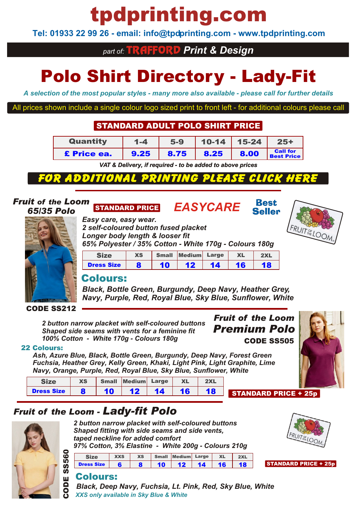# tpdprinting.com

**Tel: 01933 22 99 26 - email: info@tpdprinting.com - www.tpdprinting.com**

## *part of:* TRAFFORD *Print & Design*

# Polo Shirt Directory - Lady-Fit

*A selection of the most popular styles - many more also available - please call for further details*

All prices shown include a single colour logo sized print to front left - for additional colours please call

## STANDARD ADULT POLO SHIRT PRICE

| <b>Quantity</b>    | $1 - 4$ | $5-9$ | $\vert$ 10-14   15-24 |      | $25+$                                                   |
|--------------------|---------|-------|-----------------------|------|---------------------------------------------------------|
| <b>£</b> Price ea. | 9.25    | 8.75  | 18.25                 | 8.00 | <b>Call for</b><br><b>Call for</b><br><b>Best Price</b> |

*VAT & Delivery, if required - to be added to above prices*

### **ADDI** 71 N HIH

*65% Polyester / 35% Cotton - White 170g - Colours 180g*

Size XS Small Medium Large XL 2XL Dress Size | 8 | 10 | 12 | 14 | 16 | 18

### *Fruit of the Loom 65/35 Polo*

# *Easy care, easy wear.*

*2 self-coloured button fused placket Longer body length & looser fit*

## STANDARD PRICE *EASYCARE*





### CODE SS212

*Premium Polo 2 button narrow placket with self-coloured buttons Shaped side seams with vents for a feminine fit 100% Cotton - White 170g - Colours 180g*

Colours:

## CODE SS505 *Fruit of the Loom*



22 Colours:

*Ash, Azure Blue, Black, Bottle Green, Burgundy, Deep Navy, Forest Green Fuchsia, Heather Grey, Kelly Green, Khaki, Light Pink, Light Graphite, Lime Navy, Orange, Purple, Red, Royal Blue, Sky Blue, Sunflower, White*

|                   | XS |    | Small Medium Large |    |    | 2XL |
|-------------------|----|----|--------------------|----|----|-----|
| <b>Dress Size</b> |    | 10 | 12                 | 14 | 16 |     |

## *Fruit of the Loom - Lady-fit Polo*



*2 button narrow placket with self-coloured buttons Shaped fitting with side seams and side vents, taped neckline for added comfort 97% Cotton, 3% Elastine - White 200g - Colours 210g*

Size XXS XS Small Medium Large XL 2XL Dress Size 6 8 10 12 14 16 18



### STANDARD PRICE + 25p

STANDARD PRICE + 25p

## Colours:

*Black, Deep Navy, Fuchsia, Lt. Pink, Red, Sky Blue, White XXS only available in Sky Blue & White*





Rest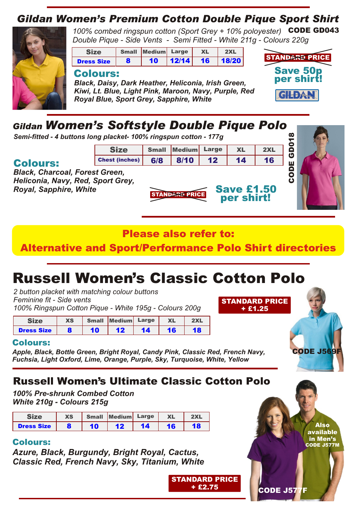## *Gildan Women's Premium Cotton Double Pique Sport Shirt*



100% combed ringspun cotton (Sport Grey + 10% poloyester) **CODE GD043** *Double Pique - Side Vents - Semi Fitted - White 211g - Colours 220g*

| <b>Size</b>       | Small Medium Large | XL | 2XL                    |
|-------------------|--------------------|----|------------------------|
| <b>Dress Size</b> | 10 <sup>1</sup>    |    | $ 12/14 $ 16 $ 18/20 $ |

### Colours:

*Black, Daisy, Dark Heather, Heliconia, Irish Green, Kiwi, Lt. Blue, Light Pink, Maroon, Navy, Purple, Red Royal Blue, Sport Grey, Sapphire, White*



CODE

GD018

## *Gildan Women's Softstyle Double Pique Polo*

*Semi-fitted - 4 buttons long placket- 100% ringspun cotton - 177g*

## Colours:

*Black, Charcoal, Forest Green, Heliconia, Navy, Red, Sport Grey, Royal, Sapphire, White*

## Please also refer to:

**STANDARD PRICE** 

Size Small Medium Large XL 2XL Chest (inches) 6/8 8/10 12 14 16

Alternative and Sport/Performance Polo Shirt directories

## Russell Women's Classic Cotton Polo

*2 button placket with matching colour buttons Feminine fit - Side vents 100% Ringspun Cotton Pique - White 195g - Colours 200g*

| Size              | <b>XS</b> |    | Small Medium Large |    | <b>XL</b> | 2XL |
|-------------------|-----------|----|--------------------|----|-----------|-----|
| <b>Dress Size</b> |           | 10 |                    | 14 |           |     |

## Colours:

*Apple, Black, Bottle Green, Bright Royal, Candy Pink, Classic Red, French Navy, Fuchsia, Light Oxford, Lime, Orange, Purple, Sky, Turquoise, White, Yellow*

## Russell Women's Ultimate Classic Cotton Polo

*100% Pre-shrunk Combed Cotton White 210g - Colours 215g*

| Size              | <b>XS</b> | Small Medium Large |    | <b>XL</b> | 2XL |
|-------------------|-----------|--------------------|----|-----------|-----|
| <b>Dress Size</b> |           | 12                 | 14 | 16        | 18  |

## Colours:

*Azure, Black, Burgundy, Bright Royal, Cactus, Classic Red, French Navy, Sky, Titanium, White*

> STANDARD PRICE + £2.75

Also available

CODE J569F

in Men's CODE J577M

CODE J577F

STANDARD PRICE + £1.25

Save £1.50 per shirt!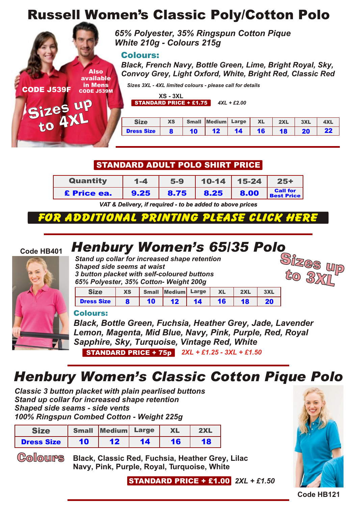## Russell Women's Classic Poly/Cotton Polo

*65% Polyester, 35% Ringspun Cotton Pique White 210g - Colours 215g*

### Colours:

Also available in Mens CODE J539M *Black, French Navy, Bottle Green, Lime, Bright Royal, Sky, Convoy Grey, Light Oxford, White, Bright Red, Classic Red*

*Sizes 3XL - 4XL limited colours - please call for details*

**XS - 3XL**

STANDARD PRICE + £1.75 *4XL + £2.00*

|                   |                                      |                 | XS Small Medium Large XL |                 |    | $2XL$          | 3XL       |  |
|-------------------|--------------------------------------|-----------------|--------------------------|-----------------|----|----------------|-----------|--|
| <b>Dress Size</b> | $\overline{\mathbf{R}}$ $\mathbf{I}$ | 10 <sup>1</sup> | 12 <sub>2</sub>          | 14 <sup>1</sup> | 16 | $.18$   $\sim$ | <b>20</b> |  |

## STANDARD ADULT POLO SHIRT PRICE

| <b>Quantity</b> | $1 - 4$ | $5-9$ |      | $10-14$   15-24 | $25+$                                |
|-----------------|---------|-------|------|-----------------|--------------------------------------|
| £ Price ea.     | 9.25    | 8.75  | 8.25 | 8.00            | <b>Call for</b><br><b>Best Price</b> |

*VAT & Delivery, if required - to be added to above prices*

## **EOR ADDITIO**

### **Code HB401**

CODE J539F

Sizes up to 4XL



**Henbury Women's 65/35 Polo**<br>**Stand up collar for increased shape retention**<br>**Sizes** Unital Standard Sizes *Stand up collar for increased shape retention Shaped side seems at waist 3 button placket with self-coloured buttons 65% Polyester, 35% Cotton- Weight 200g*



|                   | <b>XS</b> | <b>Small</b> | Medium      | Large | <b>XL</b> | 2XL | 3XL |
|-------------------|-----------|--------------|-------------|-------|-----------|-----|-----|
| <b>Dress Size</b> |           | 10           | $\sqrt{12}$ | 14    | 16        | 18  |     |

### Colours:

*Black, Bottle Green, Fuchsia, Heather Grey, Jade, Lavender Lemon, Magenta, Mid Blue, Navy, Pink, Purple, Red, Royal Sapphire, Sky, Turquoise, Vintage Red, White 2XL + £1.25 - 3XL + £1.50* STANDARD PRICE + 75p

## *Henbury Women's Classic Cotton Pique Polo*

*Classic 3 button placket with plain pearlised buttons Stand up collar for increased shape retention Shaped side seams - side vents 100% Ringspun Combed Cotton - Weight 225g*

| <b>Size</b>       |    | Small Medium Large |    | <b>XL</b> | 2XL |
|-------------------|----|--------------------|----|-----------|-----|
| <b>Dress Size</b> | 10 | 12                 | 14 | 16        |     |

Colours

**Black, Classic Red, Fuchsia, Heather Grey, Lilac Navy, Pink, Purple, Royal, Turquoise, White**

*2XL + £1.50* STANDARD PRICE + £1.00



**Code HB121**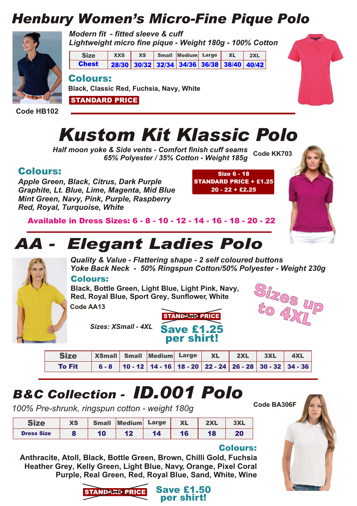## *Henbury Women's Micro-Fine Pique Polo*



*Modern fit - fitted sleeve & cuff Lightweight micro fine pique - Weight 180g - 100% Cotton*





**Code HB102**

# *Kustom Kit Klassic Polo*

*Half moon yoke & Side vents - Comfort finish cuff seams* **Code KK703** *65% Polyester / 35% Cotton - Weight 185g*

## Colours:

*Apple Green, Black, Citrus, Dark Purple Graphite, Lt. Blue, Lime, Magenta, Mid Blue Mint Green, Navy, Pink, Purple, Raspberry Red, Royal, Turquoise, White*

STANDARD PRICE

Size 6 -18 STANDARD PRICE + £1.25 20 -22 + £2.25



## *AA - Elegant Ladies Polo*

**Black, Classic Red, Fuchsia, Navy, White**



*Quality & Value - Flattering shape - 2 self coloured buttons Yoke Back Neck - 50% Ringspun Cotton/50% Polyester - Weight 230g*

### Colours:

**Black, Bottle Green, Light Blue, Light Pink, Navy, Red, Royal Blue, Sport Grey, Sunflower, White**

**Code AA13**



**Code BA306F**

*Sizes: XSmall - 4XL*



| <b>Size</b>   | XSmall Small Medium Large XL 2XL 3XL 4XL |  |  |  |  |
|---------------|------------------------------------------|--|--|--|--|
| <b>To Fit</b> |                                          |  |  |  |  |

## *B&C Collection - ID.001 Polo*

*100% Pre-shrunk, ringspun cotton - weight 180g*

| C <sub>1</sub>    | <b>XS</b> | <b>Small</b> | <b>Medium</b> | Large | <b>XL</b> | 2XL | 3XL |
|-------------------|-----------|--------------|---------------|-------|-----------|-----|-----|
| <b>Dress Size</b> | o         | 10           | 12            | 14    | 16        | 18  | 20  |

### Colours:

**Anthracite, Atoll, Black, Bottle Green, Brown, Chilli Gold, Fuchsia Heather Grey, Kelly Green, Light Blue, Navy, Orange, Pixel Coral Purple, Real Green, Red, Royal Blue, Sand, White, Wine**

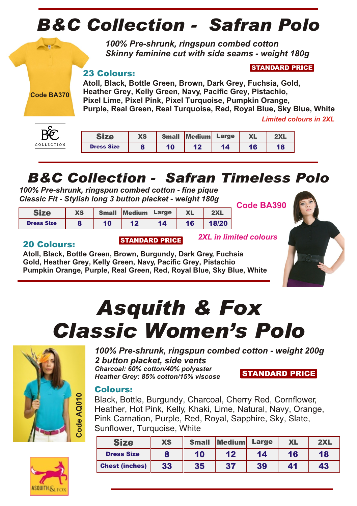# *B&C Collection - Safran Polo*

*100% Pre-shrunk, ringspun combed cotton Skinny feminine cut with side seams - weight 180g*

## 23 Colours:

STANDARD PRICE

**Atoll, Black, Bottle Green, Brown, Dark Grey, Fuchsia, Gold, Heather Grey, Kelly Green, Navy, Pacific Grey, Pistachio, Pixel Lime, Pixel Pink, Pixel Turquoise, Pumpkin Orange, Purple, Real Green, Real Turquoise, Red, Royal Blue, Sky Blue, White** *Limited colours in 2XL*



**Code BA370**

|                |                   | <b>XS</b> | <b>Small</b> | <b>Medium</b> | Large | <b>XL</b> | 2V1 |
|----------------|-------------------|-----------|--------------|---------------|-------|-----------|-----|
| O <sub>N</sub> | <b>Dress Size</b> | o         | 10           | 12            | 14    | 16        |     |
|                |                   |           |              |               |       |           |     |

## *B&C Collection - Safran Timeless Polo*

*100% Pre-shrunk, ringspun combed cotton - fine pique Classic Fit - Stylish long 3 button placket - weight 180g*

| C <sub>1</sub>    | XS | <b>Small</b> | Medium Large |    | XL | 2XL   |
|-------------------|----|--------------|--------------|----|----|-------|
| <b>Dress Size</b> | 8  | 10           |              | 14 | 16 | 18/20 |

**Code BA390**

*2XL in limited colours*



## 20 Colours:

**Atoll, Black, Bottle Green, Brown, Burgundy, Dark Grey, Fuchsia Gold, Heather Grey, Kelly Green, Navy, Pacific Grey, Pistachio Pumpkin Orange, Purple, Real Green, Red, Royal Blue, Sky Blue, White**

STANDARD PRICE

# *Asquith & Fox Classic Women's Polo*



*100% Pre-shrunk, ringspun combed cotton - weight 200g 2 button placket, side vents Charcoal: 60% cotton/40% polyester Heather Grey: 85% cotton/15% viscose* STANDARD PRICE

## Colours:

Black, Bottle, Burgundy, Charcoal, Cherry Red, Cornflower, Heather, Hot Pink, Kelly, Khaki, Lime, Natural, Navy, Orange, Pink Carnation, Purple, Red, Royal, Sapphire, Sky, Slate, Sunflower, Turquoise, White

| <b>Size</b>           | <b>XS</b> | <b>Small</b> | <b>Medium</b> | Large | <b>XL</b> | 2XL |
|-----------------------|-----------|--------------|---------------|-------|-----------|-----|
| <b>Dress Size</b>     |           | 10           | 12            | 14    | 16        | 18  |
| <b>Chest (inches)</b> | 33        | 35           | 37            | 39    | 41        | 43  |